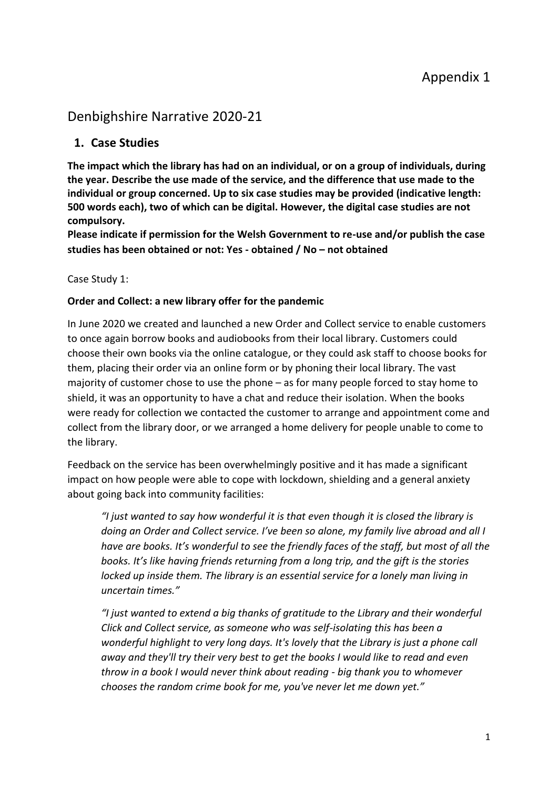# Denbighshire Narrative 2020-21

# **1. Case Studies**

**The impact which the library has had on an individual, or on a group of individuals, during the year. Describe the use made of the service, and the difference that use made to the individual or group concerned. Up to six case studies may be provided (indicative length: 500 words each), two of which can be digital. However, the digital case studies are not compulsory.** 

**Please indicate if permission for the Welsh Government to re-use and/or publish the case studies has been obtained or not: Yes - obtained / No – not obtained** 

## Case Study 1:

### **Order and Collect: a new library offer for the pandemic**

In June 2020 we created and launched a new Order and Collect service to enable customers to once again borrow books and audiobooks from their local library. Customers could choose their own books via the online catalogue, or they could ask staff to choose books for them, placing their order via an online form or by phoning their local library. The vast majority of customer chose to use the phone – as for many people forced to stay home to shield, it was an opportunity to have a chat and reduce their isolation. When the books were ready for collection we contacted the customer to arrange and appointment come and collect from the library door, or we arranged a home delivery for people unable to come to the library.

Feedback on the service has been overwhelmingly positive and it has made a significant impact on how people were able to cope with lockdown, shielding and a general anxiety about going back into community facilities:

*"I just wanted to say how wonderful it is that even though it is closed the library is doing an Order and Collect service. I've been so alone, my family live abroad and all I have are books. It's wonderful to see the friendly faces of the staff, but most of all the books. It's like having friends returning from a long trip, and the gift is the stories locked up inside them. The library is an essential service for a lonely man living in uncertain times."*

*"I just wanted to extend a big thanks of gratitude to the Library and their wonderful Click and Collect service, as someone who was self-isolating this has been a wonderful highlight to very long days. It's lovely that the Library is just a phone call away and they'll try their very best to get the books I would like to read and even throw in a book I would never think about reading - big thank you to whomever chooses the random crime book for me, you've never let me down yet."*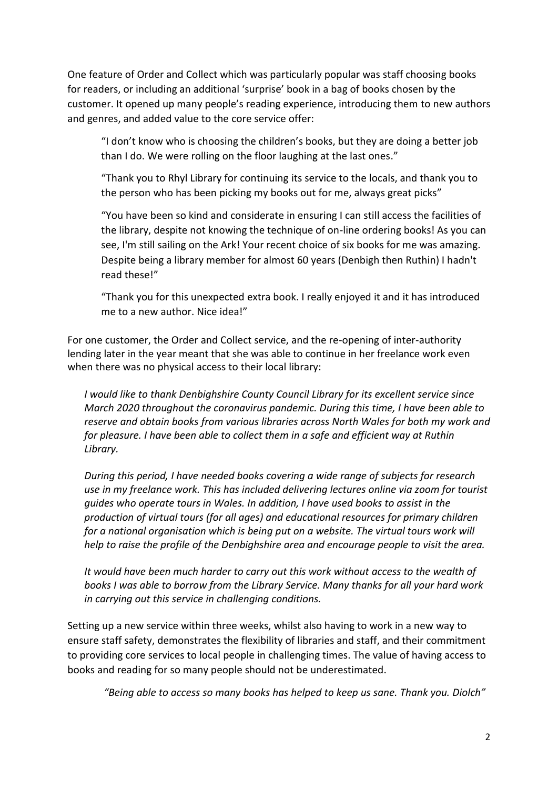One feature of Order and Collect which was particularly popular was staff choosing books for readers, or including an additional 'surprise' book in a bag of books chosen by the customer. It opened up many people's reading experience, introducing them to new authors and genres, and added value to the core service offer:

"I don't know who is choosing the children's books, but they are doing a better job than I do. We were rolling on the floor laughing at the last ones."

"Thank you to Rhyl Library for continuing its service to the locals, and thank you to the person who has been picking my books out for me, always great picks"

"You have been so kind and considerate in ensuring I can still access the facilities of the library, despite not knowing the technique of on-line ordering books! As you can see, I'm still sailing on the Ark! Your recent choice of six books for me was amazing. Despite being a library member for almost 60 years (Denbigh then Ruthin) I hadn't read these!"

"Thank you for this unexpected extra book. I really enjoyed it and it has introduced me to a new author. Nice idea!"

For one customer, the Order and Collect service, and the re-opening of inter-authority lending later in the year meant that she was able to continue in her freelance work even when there was no physical access to their local library:

*I would like to thank Denbighshire County Council Library for its excellent service since March 2020 throughout the coronavirus pandemic. During this time, I have been able to reserve and obtain books from various libraries across North Wales for both my work and for pleasure. I have been able to collect them in a safe and efficient way at Ruthin Library.* 

*During this period, I have needed books covering a wide range of subjects for research use in my freelance work. This has included delivering lectures online via zoom for tourist guides who operate tours in Wales. In addition, I have used books to assist in the production of virtual tours (for all ages) and educational resources for primary children for a national organisation which is being put on a website. The virtual tours work will help to raise the profile of the Denbighshire area and encourage people to visit the area.* 

*It would have been much harder to carry out this work without access to the wealth of books I was able to borrow from the Library Service. Many thanks for all your hard work in carrying out this service in challenging conditions.* 

Setting up a new service within three weeks, whilst also having to work in a new way to ensure staff safety, demonstrates the flexibility of libraries and staff, and their commitment to providing core services to local people in challenging times. The value of having access to books and reading for so many people should not be underestimated.

*"Being able to access so many books has helped to keep us sane. Thank you. Diolch"*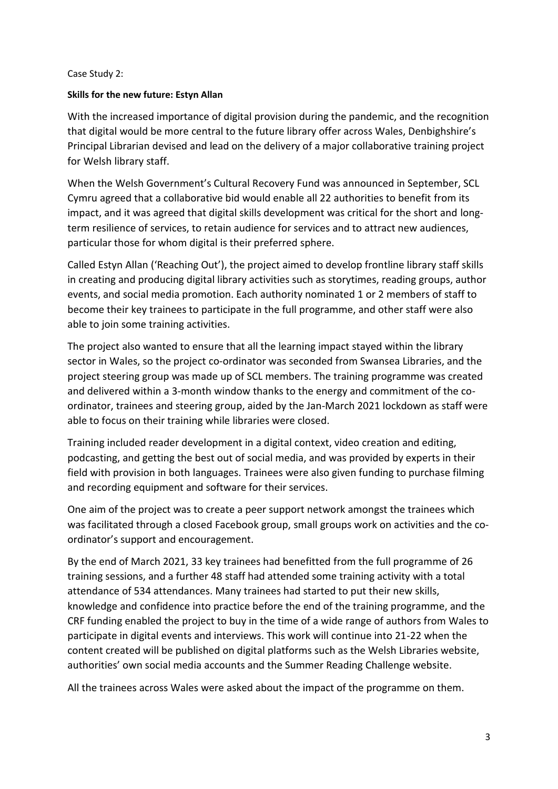### Case Study 2:

### **Skills for the new future: Estyn Allan**

With the increased importance of digital provision during the pandemic, and the recognition that digital would be more central to the future library offer across Wales, Denbighshire's Principal Librarian devised and lead on the delivery of a major collaborative training project for Welsh library staff.

When the Welsh Government's Cultural Recovery Fund was announced in September, SCL Cymru agreed that a collaborative bid would enable all 22 authorities to benefit from its impact, and it was agreed that digital skills development was critical for the short and longterm resilience of services, to retain audience for services and to attract new audiences, particular those for whom digital is their preferred sphere.

Called Estyn Allan ('Reaching Out'), the project aimed to develop frontline library staff skills in creating and producing digital library activities such as storytimes, reading groups, author events, and social media promotion. Each authority nominated 1 or 2 members of staff to become their key trainees to participate in the full programme, and other staff were also able to join some training activities.

The project also wanted to ensure that all the learning impact stayed within the library sector in Wales, so the project co-ordinator was seconded from Swansea Libraries, and the project steering group was made up of SCL members. The training programme was created and delivered within a 3-month window thanks to the energy and commitment of the coordinator, trainees and steering group, aided by the Jan-March 2021 lockdown as staff were able to focus on their training while libraries were closed.

Training included reader development in a digital context, video creation and editing, podcasting, and getting the best out of social media, and was provided by experts in their field with provision in both languages. Trainees were also given funding to purchase filming and recording equipment and software for their services.

One aim of the project was to create a peer support network amongst the trainees which was facilitated through a closed Facebook group, small groups work on activities and the coordinator's support and encouragement.

By the end of March 2021, 33 key trainees had benefitted from the full programme of 26 training sessions, and a further 48 staff had attended some training activity with a total attendance of 534 attendances. Many trainees had started to put their new skills, knowledge and confidence into practice before the end of the training programme, and the CRF funding enabled the project to buy in the time of a wide range of authors from Wales to participate in digital events and interviews. This work will continue into 21-22 when the content created will be published on digital platforms such as the Welsh Libraries website, authorities' own social media accounts and the Summer Reading Challenge website.

All the trainees across Wales were asked about the impact of the programme on them.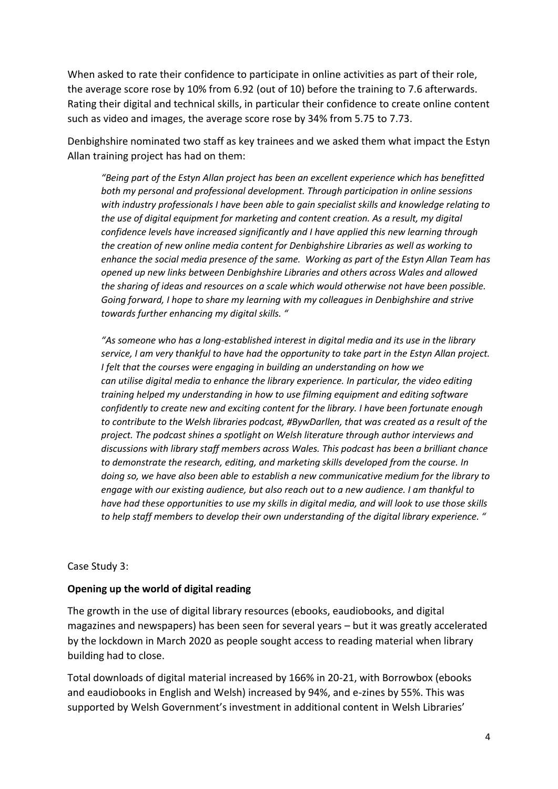When asked to rate their confidence to participate in online activities as part of their role, the average score rose by 10% from 6.92 (out of 10) before the training to 7.6 afterwards. Rating their digital and technical skills, in particular their confidence to create online content such as video and images, the average score rose by 34% from 5.75 to 7.73.

Denbighshire nominated two staff as key trainees and we asked them what impact the Estyn Allan training project has had on them:

*"Being part of the Estyn Allan project has been an excellent experience which has benefitted both my personal and professional development. Through participation in online sessions with industry professionals I have been able to gain specialist skills and knowledge relating to the use of digital equipment for marketing and content creation. As a result, my digital confidence levels have increased significantly and I have applied this new learning through the creation of new online media content for Denbighshire Libraries as well as working to enhance the social media presence of the same. Working as part of the Estyn Allan Team has opened up new links between Denbighshire Libraries and others across Wales and allowed the sharing of ideas and resources on a scale which would otherwise not have been possible. Going forward, I hope to share my learning with my colleagues in Denbighshire and strive towards further enhancing my digital skills. "*

*"As someone who has a long-established interest in digital media and its use in the library service, I am very thankful to have had the opportunity to take part in the Estyn Allan project. I felt that the courses were engaging in building an understanding on how we can utilise digital media to enhance the library experience. In particular, the video editing training helped my understanding in how to use filming equipment and editing software confidently to create new and exciting content for the library. I have been fortunate enough to contribute to the Welsh libraries podcast, #BywDarllen, that was created as a result of the project. The podcast shines a spotlight on Welsh literature through author interviews and discussions with library staff members across Wales. This podcast has been a brilliant chance to demonstrate the research, editing, and marketing skills developed from the course. In doing so, we have also been able to establish a new communicative medium for the library to engage with our existing audience, but also reach out to a new audience. I am thankful to have had these opportunities to use my skills in digital media, and will look to use those skills to help staff members to develop their own understanding of the digital library experience. "*

### Case Study 3:

### **Opening up the world of digital reading**

The growth in the use of digital library resources (ebooks, eaudiobooks, and digital magazines and newspapers) has been seen for several years – but it was greatly accelerated by the lockdown in March 2020 as people sought access to reading material when library building had to close.

Total downloads of digital material increased by 166% in 20-21, with Borrowbox (ebooks and eaudiobooks in English and Welsh) increased by 94%, and e-zines by 55%. This was supported by Welsh Government's investment in additional content in Welsh Libraries'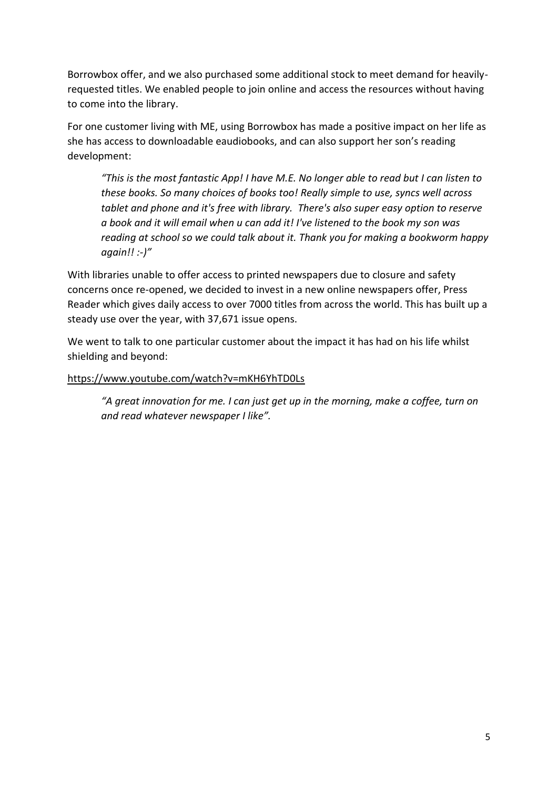Borrowbox offer, and we also purchased some additional stock to meet demand for heavilyrequested titles. We enabled people to join online and access the resources without having to come into the library.

For one customer living with ME, using Borrowbox has made a positive impact on her life as she has access to downloadable eaudiobooks, and can also support her son's reading development:

*"This is the most fantastic App! I have M.E. No longer able to read but I can listen to these books. So many choices of books too! Really simple to use, syncs well across tablet and phone and it's free with library. There's also super easy option to reserve a book and it will email when u can add it! I've listened to the book my son was reading at school so we could talk about it. Thank you for making a bookworm happy again!! :-)"*

With libraries unable to offer access to printed newspapers due to closure and safety concerns once re-opened, we decided to invest in a new online newspapers offer, Press Reader which gives daily access to over 7000 titles from across the world. This has built up a steady use over the year, with 37,671 issue opens.

We went to talk to one particular customer about the impact it has had on his life whilst shielding and beyond:

### <https://www.youtube.com/watch?v=mKH6YhTD0Ls>

*"A great innovation for me. I can just get up in the morning, make a coffee, turn on and read whatever newspaper I like".*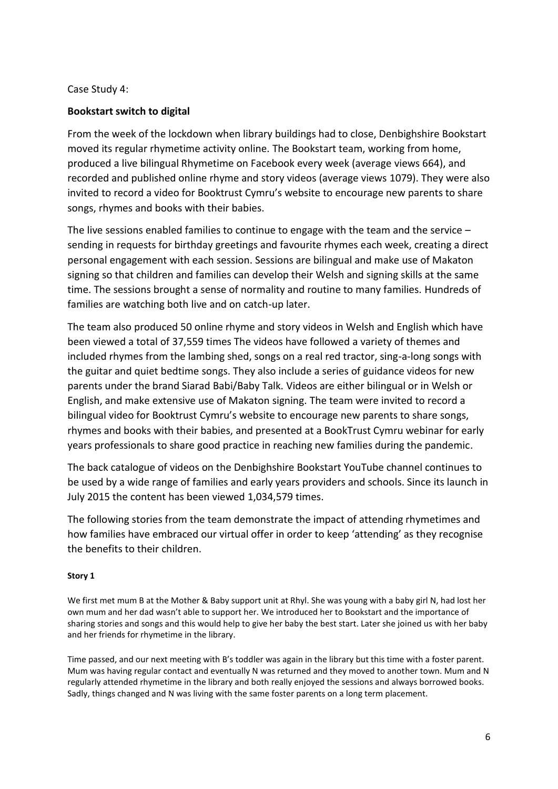### Case Study 4:

### **Bookstart switch to digital**

From the week of the lockdown when library buildings had to close, Denbighshire Bookstart moved its regular rhymetime activity online. The Bookstart team, working from home, produced a live bilingual Rhymetime on Facebook every week (average views 664), and recorded and published online rhyme and story videos (average views 1079). They were also invited to record a video for Booktrust Cymru's website to encourage new parents to share songs, rhymes and books with their babies.

The live sessions enabled families to continue to engage with the team and the service – sending in requests for birthday greetings and favourite rhymes each week, creating a direct personal engagement with each session. Sessions are bilingual and make use of Makaton signing so that children and families can develop their Welsh and signing skills at the same time. The sessions brought a sense of normality and routine to many families. Hundreds of families are watching both live and on catch-up later.

The team also produced 50 online rhyme and story videos in Welsh and English which have been viewed a total of 37,559 times The videos have followed a variety of themes and included rhymes from the lambing shed, songs on a real red tractor, sing-a-long songs with the guitar and quiet bedtime songs. They also include a series of guidance videos for new parents under the brand Siarad Babi/Baby Talk. Videos are either bilingual or in Welsh or English, and make extensive use of Makaton signing. The team were invited to record a bilingual video for Booktrust Cymru's website to encourage new parents to share songs, rhymes and books with their babies, and presented at a BookTrust Cymru webinar for early years professionals to share good practice in reaching new families during the pandemic.

The back catalogue of videos on the Denbighshire Bookstart YouTube channel continues to be used by a wide range of families and early years providers and schools. Since its launch in July 2015 the content has been viewed 1,034,579 times.

The following stories from the team demonstrate the impact of attending rhymetimes and how families have embraced our virtual offer in order to keep 'attending' as they recognise the benefits to their children.

### **Story 1**

We first met mum B at the Mother & Baby support unit at Rhyl. She was young with a baby girl N, had lost her own mum and her dad wasn't able to support her. We introduced her to Bookstart and the importance of sharing stories and songs and this would help to give her baby the best start. Later she joined us with her baby and her friends for rhymetime in the library.

Time passed, and our next meeting with B's toddler was again in the library but this time with a foster parent. Mum was having regular contact and eventually N was returned and they moved to another town. Mum and N regularly attended rhymetime in the library and both really enjoyed the sessions and always borrowed books. Sadly, things changed and N was living with the same foster parents on a long term placement.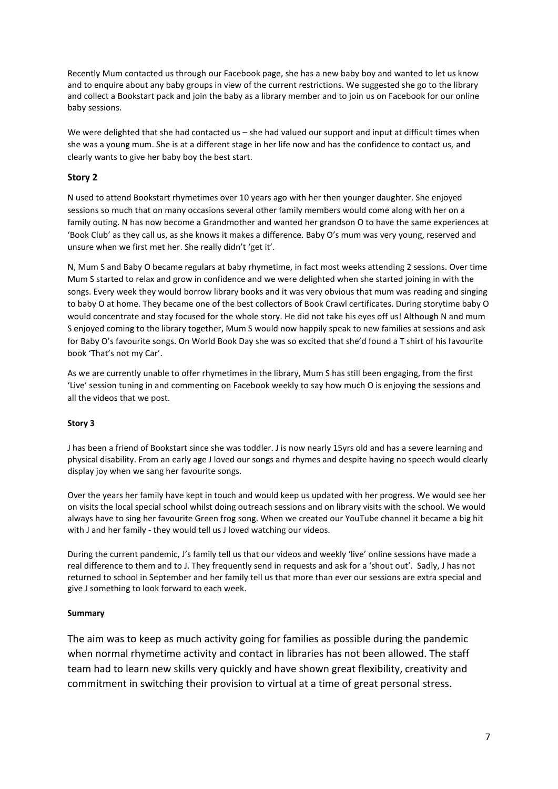Recently Mum contacted us through our Facebook page, she has a new baby boy and wanted to let us know and to enquire about any baby groups in view of the current restrictions. We suggested she go to the library and collect a Bookstart pack and join the baby as a library member and to join us on Facebook for our online baby sessions.

We were delighted that she had contacted us – she had valued our support and input at difficult times when she was a young mum. She is at a different stage in her life now and has the confidence to contact us, and clearly wants to give her baby boy the best start.

### **Story 2**

N used to attend Bookstart rhymetimes over 10 years ago with her then younger daughter. She enjoyed sessions so much that on many occasions several other family members would come along with her on a family outing. N has now become a Grandmother and wanted her grandson O to have the same experiences at 'Book Club' as they call us, as she knows it makes a difference. Baby O's mum was very young, reserved and unsure when we first met her. She really didn't 'get it'.

N, Mum S and Baby O became regulars at baby rhymetime, in fact most weeks attending 2 sessions. Over time Mum S started to relax and grow in confidence and we were delighted when she started joining in with the songs. Every week they would borrow library books and it was very obvious that mum was reading and singing to baby O at home. They became one of the best collectors of Book Crawl certificates. During storytime baby O would concentrate and stay focused for the whole story. He did not take his eyes off us! Although N and mum S enjoyed coming to the library together, Mum S would now happily speak to new families at sessions and ask for Baby O's favourite songs. On World Book Day she was so excited that she'd found a T shirt of his favourite book 'That's not my Car'.

As we are currently unable to offer rhymetimes in the library, Mum S has still been engaging, from the first 'Live' session tuning in and commenting on Facebook weekly to say how much O is enjoying the sessions and all the videos that we post.

#### **Story 3**

J has been a friend of Bookstart since she was toddler. J is now nearly 15yrs old and has a severe learning and physical disability. From an early age J loved our songs and rhymes and despite having no speech would clearly display joy when we sang her favourite songs.

Over the years her family have kept in touch and would keep us updated with her progress. We would see her on visits the local special school whilst doing outreach sessions and on library visits with the school. We would always have to sing her favourite Green frog song. When we created our YouTube channel it became a big hit with J and her family - they would tell us J loved watching our videos.

During the current pandemic, J's family tell us that our videos and weekly 'live' online sessions have made a real difference to them and to J. They frequently send in requests and ask for a 'shout out'. Sadly, J has not returned to school in September and her family tell us that more than ever our sessions are extra special and give J something to look forward to each week.

#### **Summary**

The aim was to keep as much activity going for families as possible during the pandemic when normal rhymetime activity and contact in libraries has not been allowed. The staff team had to learn new skills very quickly and have shown great flexibility, creativity and commitment in switching their provision to virtual at a time of great personal stress.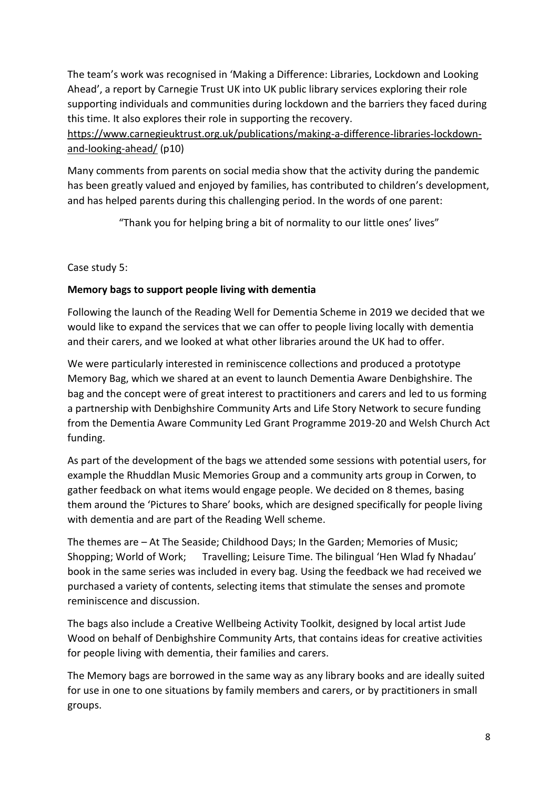The team's work was recognised in 'Making a Difference: Libraries, Lockdown and Looking Ahead', a report by Carnegie Trust UK into UK public library services exploring their role supporting individuals and communities during lockdown and the barriers they faced during this time. It also explores their role in supporting the recovery.

[https://www.carnegieuktrust.org.uk/publications/making-a-difference-libraries-lockdown](https://www.carnegieuktrust.org.uk/publications/making-a-difference-libraries-lockdown-and-looking-ahead/)[and-looking-ahead/](https://www.carnegieuktrust.org.uk/publications/making-a-difference-libraries-lockdown-and-looking-ahead/) (p10)

Many comments from parents on social media show that the activity during the pandemic has been greatly valued and enjoyed by families, has contributed to children's development, and has helped parents during this challenging period. In the words of one parent:

"Thank you for helping bring a bit of normality to our little ones' lives"

Case study 5:

# **Memory bags to support people living with dementia**

Following the launch of the Reading Well for Dementia Scheme in 2019 we decided that we would like to expand the services that we can offer to people living locally with dementia and their carers, and we looked at what other libraries around the UK had to offer.

We were particularly interested in reminiscence collections and produced a prototype Memory Bag, which we shared at an event to launch Dementia Aware Denbighshire. The bag and the concept were of great interest to practitioners and carers and led to us forming a partnership with Denbighshire Community Arts and Life Story Network to secure funding from the Dementia Aware Community Led Grant Programme 2019-20 and Welsh Church Act funding.

As part of the development of the bags we attended some sessions with potential users, for example the Rhuddlan Music Memories Group and a community arts group in Corwen, to gather feedback on what items would engage people. We decided on 8 themes, basing them around the 'Pictures to Share' books, which are designed specifically for people living with dementia and are part of the Reading Well scheme.

The themes are – At The Seaside; Childhood Days; In the Garden; Memories of Music; Shopping; World of Work; Travelling; Leisure Time. The bilingual 'Hen Wlad fy Nhadau' book in the same series was included in every bag. Using the feedback we had received we purchased a variety of contents, selecting items that stimulate the senses and promote reminiscence and discussion.

The bags also include a Creative Wellbeing Activity Toolkit, designed by local artist Jude Wood on behalf of Denbighshire Community Arts, that contains ideas for creative activities for people living with dementia, their families and carers.

The Memory bags are borrowed in the same way as any library books and are ideally suited for use in one to one situations by family members and carers, or by practitioners in small groups.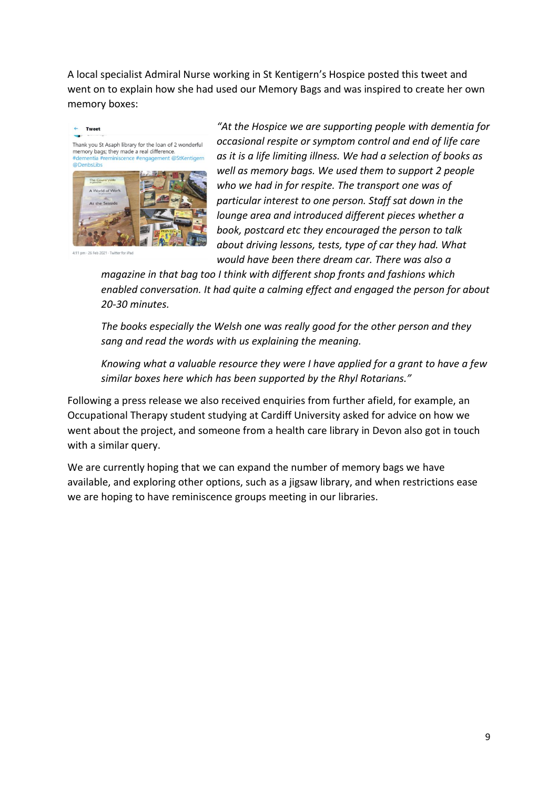A local specialist Admiral Nurse working in St Kentigern's Hospice posted this tweet and went on to explain how she had used our Memory Bags and was inspired to create her own memory boxes:



*"At the Hospice we are supporting people with dementia for occasional respite or symptom control and end of life care as it is a life limiting illness. We had a selection of books as well as memory bags. We used them to support 2 people who we had in for respite. The transport one was of particular interest to one person. Staff sat down in the lounge area and introduced different pieces whether a book, postcard etc they encouraged the person to talk about driving lessons, tests, type of car they had. What would have been there dream car. There was also a* 

*magazine in that bag too I think with different shop fronts and fashions which enabled conversation. It had quite a calming effect and engaged the person for about 20-30 minutes.*

*The books especially the Welsh one was really good for the other person and they sang and read the words with us explaining the meaning.*

*Knowing what a valuable resource they were I have applied for a grant to have a few similar boxes here which has been supported by the Rhyl Rotarians."*

Following a press release we also received enquiries from further afield, for example, an Occupational Therapy student studying at Cardiff University asked for advice on how we went about the project, and someone from a health care library in Devon also got in touch with a similar query.

We are currently hoping that we can expand the number of memory bags we have available, and exploring other options, such as a jigsaw library, and when restrictions ease we are hoping to have reminiscence groups meeting in our libraries.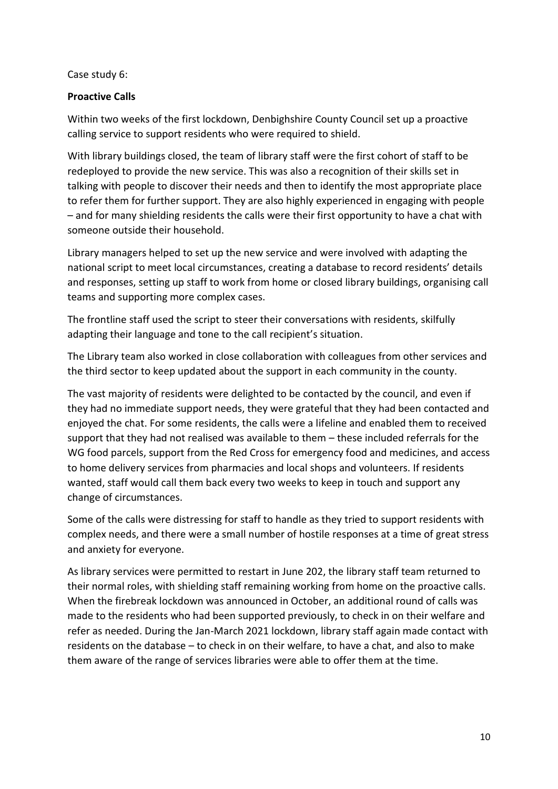Case study 6:

## **Proactive Calls**

Within two weeks of the first lockdown, Denbighshire County Council set up a proactive calling service to support residents who were required to shield.

With library buildings closed, the team of library staff were the first cohort of staff to be redeployed to provide the new service. This was also a recognition of their skills set in talking with people to discover their needs and then to identify the most appropriate place to refer them for further support. They are also highly experienced in engaging with people – and for many shielding residents the calls were their first opportunity to have a chat with someone outside their household.

Library managers helped to set up the new service and were involved with adapting the national script to meet local circumstances, creating a database to record residents' details and responses, setting up staff to work from home or closed library buildings, organising call teams and supporting more complex cases.

The frontline staff used the script to steer their conversations with residents, skilfully adapting their language and tone to the call recipient's situation.

The Library team also worked in close collaboration with colleagues from other services and the third sector to keep updated about the support in each community in the county.

The vast majority of residents were delighted to be contacted by the council, and even if they had no immediate support needs, they were grateful that they had been contacted and enjoyed the chat. For some residents, the calls were a lifeline and enabled them to received support that they had not realised was available to them – these included referrals for the WG food parcels, support from the Red Cross for emergency food and medicines, and access to home delivery services from pharmacies and local shops and volunteers. If residents wanted, staff would call them back every two weeks to keep in touch and support any change of circumstances.

Some of the calls were distressing for staff to handle as they tried to support residents with complex needs, and there were a small number of hostile responses at a time of great stress and anxiety for everyone.

As library services were permitted to restart in June 202, the library staff team returned to their normal roles, with shielding staff remaining working from home on the proactive calls. When the firebreak lockdown was announced in October, an additional round of calls was made to the residents who had been supported previously, to check in on their welfare and refer as needed. During the Jan-March 2021 lockdown, library staff again made contact with residents on the database – to check in on their welfare, to have a chat, and also to make them aware of the range of services libraries were able to offer them at the time.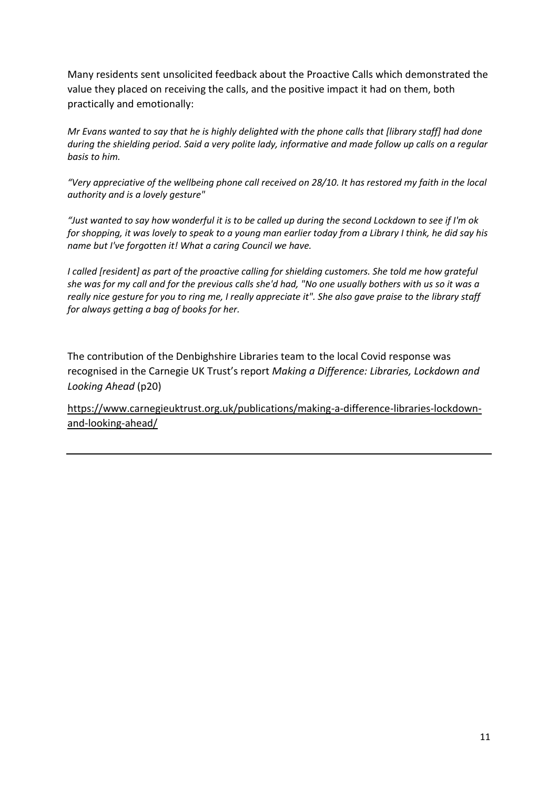Many residents sent unsolicited feedback about the Proactive Calls which demonstrated the value they placed on receiving the calls, and the positive impact it had on them, both practically and emotionally:

*Mr Evans wanted to say that he is highly delighted with the phone calls that [library staff] had done during the shielding period. Said a very polite lady, informative and made follow up calls on a regular basis to him.*

*"Very appreciative of the wellbeing phone call received on 28/10. It has restored my faith in the local authority and is a lovely gesture"*

*"Just wanted to say how wonderful it is to be called up during the second Lockdown to see if I'm ok for shopping, it was lovely to speak to a young man earlier today from a Library I think, he did say his name but I've forgotten it! What a caring Council we have.*

*I called [resident] as part of the proactive calling for shielding customers. She told me how grateful she was for my call and for the previous calls she'd had, "No one usually bothers with us so it was a really nice gesture for you to ring me, I really appreciate it". She also gave praise to the library staff for always getting a bag of books for her.*

The contribution of the Denbighshire Libraries team to the local Covid response was recognised in the Carnegie UK Trust's report *Making a Difference: Libraries, Lockdown and Looking Ahead* (p20)

[https://www.carnegieuktrust.org.uk/publications/making-a-difference-libraries-lockdown](https://www.carnegieuktrust.org.uk/publications/making-a-difference-libraries-lockdown-and-looking-ahead/)[and-looking-ahead/](https://www.carnegieuktrust.org.uk/publications/making-a-difference-libraries-lockdown-and-looking-ahead/)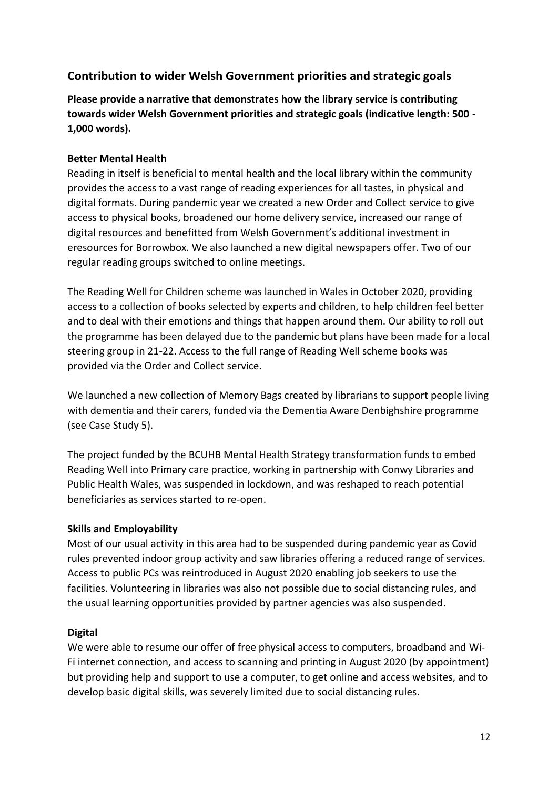# **Contribution to wider Welsh Government priorities and strategic goals**

**Please provide a narrative that demonstrates how the library service is contributing towards wider Welsh Government priorities and strategic goals (indicative length: 500 - 1,000 words).**

## **Better Mental Health**

Reading in itself is beneficial to mental health and the local library within the community provides the access to a vast range of reading experiences for all tastes, in physical and digital formats. During pandemic year we created a new Order and Collect service to give access to physical books, broadened our home delivery service, increased our range of digital resources and benefitted from Welsh Government's additional investment in eresources for Borrowbox. We also launched a new digital newspapers offer. Two of our regular reading groups switched to online meetings.

The Reading Well for Children scheme was launched in Wales in October 2020, providing access to a collection of books selected by experts and children, to help children feel better and to deal with their emotions and things that happen around them. Our ability to roll out the programme has been delayed due to the pandemic but plans have been made for a local steering group in 21-22. Access to the full range of Reading Well scheme books was provided via the Order and Collect service.

We launched a new collection of Memory Bags created by librarians to support people living with dementia and their carers, funded via the Dementia Aware Denbighshire programme (see Case Study 5).

The project funded by the BCUHB Mental Health Strategy transformation funds to embed Reading Well into Primary care practice, working in partnership with Conwy Libraries and Public Health Wales, was suspended in lockdown, and was reshaped to reach potential beneficiaries as services started to re-open.

### **Skills and Employability**

Most of our usual activity in this area had to be suspended during pandemic year as Covid rules prevented indoor group activity and saw libraries offering a reduced range of services. Access to public PCs was reintroduced in August 2020 enabling job seekers to use the facilities. Volunteering in libraries was also not possible due to social distancing rules, and the usual learning opportunities provided by partner agencies was also suspended.

### **Digital**

We were able to resume our offer of free physical access to computers, broadband and Wi-Fi internet connection, and access to scanning and printing in August 2020 (by appointment) but providing help and support to use a computer, to get online and access websites, and to develop basic digital skills, was severely limited due to social distancing rules.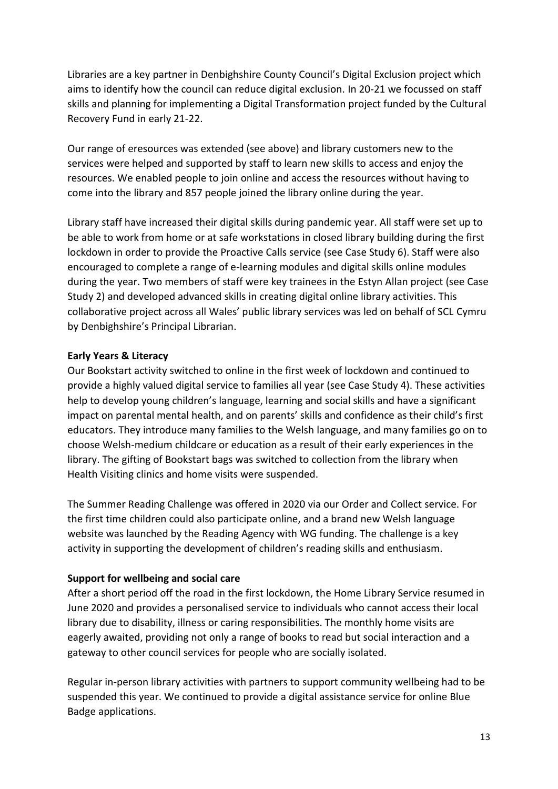Libraries are a key partner in Denbighshire County Council's Digital Exclusion project which aims to identify how the council can reduce digital exclusion. In 20-21 we focussed on staff skills and planning for implementing a Digital Transformation project funded by the Cultural Recovery Fund in early 21-22.

Our range of eresources was extended (see above) and library customers new to the services were helped and supported by staff to learn new skills to access and enjoy the resources. We enabled people to join online and access the resources without having to come into the library and 857 people joined the library online during the year.

Library staff have increased their digital skills during pandemic year. All staff were set up to be able to work from home or at safe workstations in closed library building during the first lockdown in order to provide the Proactive Calls service (see Case Study 6). Staff were also encouraged to complete a range of e-learning modules and digital skills online modules during the year. Two members of staff were key trainees in the Estyn Allan project (see Case Study 2) and developed advanced skills in creating digital online library activities. This collaborative project across all Wales' public library services was led on behalf of SCL Cymru by Denbighshire's Principal Librarian.

### **Early Years & Literacy**

Our Bookstart activity switched to online in the first week of lockdown and continued to provide a highly valued digital service to families all year (see Case Study 4). These activities help to develop young children's language, learning and social skills and have a significant impact on parental mental health, and on parents' skills and confidence as their child's first educators. They introduce many families to the Welsh language, and many families go on to choose Welsh-medium childcare or education as a result of their early experiences in the library. The gifting of Bookstart bags was switched to collection from the library when Health Visiting clinics and home visits were suspended.

The Summer Reading Challenge was offered in 2020 via our Order and Collect service. For the first time children could also participate online, and a brand new Welsh language website was launched by the Reading Agency with WG funding. The challenge is a key activity in supporting the development of children's reading skills and enthusiasm.

### **Support for wellbeing and social care**

After a short period off the road in the first lockdown, the Home Library Service resumed in June 2020 and provides a personalised service to individuals who cannot access their local library due to disability, illness or caring responsibilities. The monthly home visits are eagerly awaited, providing not only a range of books to read but social interaction and a gateway to other council services for people who are socially isolated.

Regular in-person library activities with partners to support community wellbeing had to be suspended this year. We continued to provide a digital assistance service for online Blue Badge applications.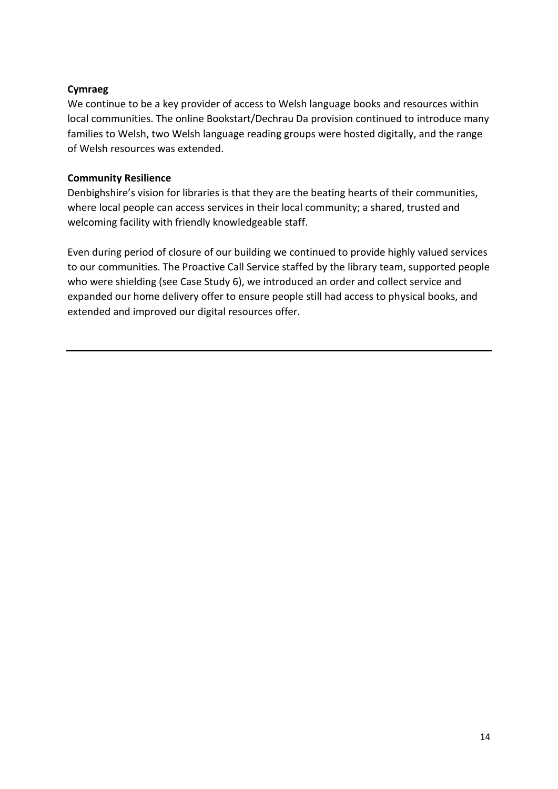## **Cymraeg**

We continue to be a key provider of access to Welsh language books and resources within local communities. The online Bookstart/Dechrau Da provision continued to introduce many families to Welsh, two Welsh language reading groups were hosted digitally, and the range of Welsh resources was extended.

## **Community Resilience**

Denbighshire's vision for libraries is that they are the beating hearts of their communities, where local people can access services in their local community; a shared, trusted and welcoming facility with friendly knowledgeable staff.

Even during period of closure of our building we continued to provide highly valued services to our communities. The Proactive Call Service staffed by the library team, supported people who were shielding (see Case Study 6), we introduced an order and collect service and expanded our home delivery offer to ensure people still had access to physical books, and extended and improved our digital resources offer.